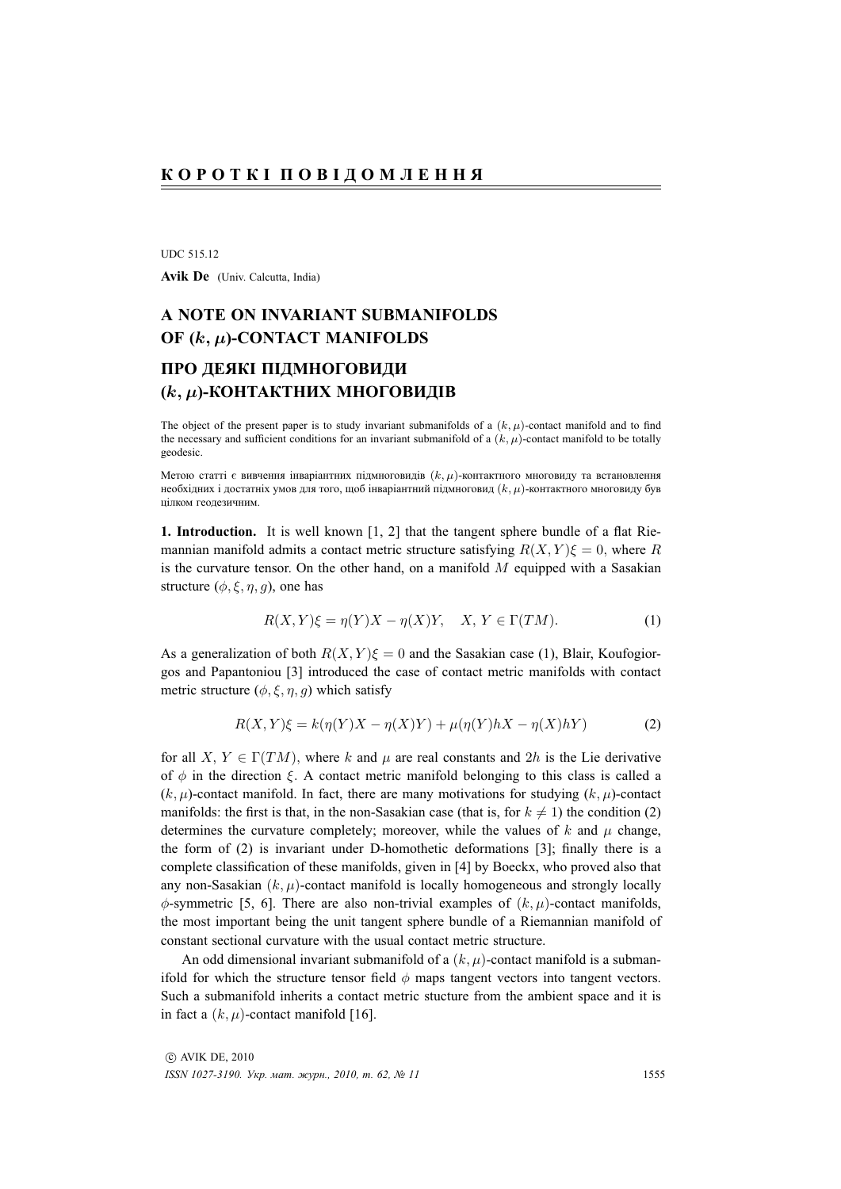UDC 515.12

Avik De (Univ. Calcutta, India)

## **A NOTE ON INVARIANT SUBMANIFOLDS OF (**k, µ**)-CONTACT MANIFOLDS**

## **ПРО ДЕЯКI ПIДМНОГОВИДИ (**k, µ**)-КОНТАКТНИХ МНОГОВИДIВ**

The object of the present paper is to study invariant submanifolds of a  $(k, \mu)$ -contact manifold and to find the necessary and sufficient conditions for an invariant submanifold of a  $(k, \mu)$ -contact manifold to be totally geodesic.

Метою статтi є вивчення iнварiантних пiдмноговидiв  $(k, \mu)$ -контактного многовиду та встановлення необхідних і достатніх умов для того, щоб інваріантний підмноговид  $(k, \mu)$ -контактного многовиду був цiлком геодезичним.

**1. Introduction.** It is well known [1, 2] that the tangent sphere bundle of a flat Riemannian manifold admits a contact metric structure satisfying  $R(X, Y)\xi = 0$ , where R is the curvature tensor. On the other hand, on a manifold  $M$  equipped with a Sasakian structure  $(\phi, \xi, \eta, q)$ , one has

$$
R(X,Y)\xi = \eta(Y)X - \eta(X)Y, \quad X, Y \in \Gamma(TM). \tag{1}
$$

As a generalization of both  $R(X, Y)\xi = 0$  and the Sasakian case (1), Blair, Koufogiorgos and Papantoniou [3] introduced the case of contact metric manifolds with contact metric structure ( $\phi$ ,  $\xi$ ,  $\eta$ ,  $q$ ) which satisfy

$$
R(X,Y)\xi = k(\eta(Y)X - \eta(X)Y) + \mu(\eta(Y)hX - \eta(X)hY)
$$
\n(2)

for all X,  $Y \in \Gamma(TM)$ , where k and  $\mu$  are real constants and 2h is the Lie derivative of  $\phi$  in the direction  $\xi$ . A contact metric manifold belonging to this class is called a  $(k, \mu)$ -contact manifold. In fact, there are many motivations for studying  $(k, \mu)$ -contact manifolds: the first is that, in the non-Sasakian case (that is, for  $k \neq 1$ ) the condition (2) determines the curvature completely; moreover, while the values of k and  $\mu$  change, the form of (2) is invariant under D-homothetic deformations [3]; finally there is a complete classification of these manifolds, given in [4] by Boeckx, who proved also that any non-Sasakian  $(k, \mu)$ -contact manifold is locally homogeneous and strongly locally  $\phi$ -symmetric [5, 6]. There are also non-trivial examples of  $(k, \mu)$ -contact manifolds, the most important being the unit tangent sphere bundle of a Riemannian manifold of constant sectional curvature with the usual contact metric structure.

An odd dimensional invariant submanifold of a  $(k, \mu)$ -contact manifold is a submanifold for which the structure tensor field  $\phi$  maps tangent vectors into tangent vectors. Such a submanifold inherits a contact metric stucture from the ambient space and it is in fact a  $(k, \mu)$ -contact manifold [16].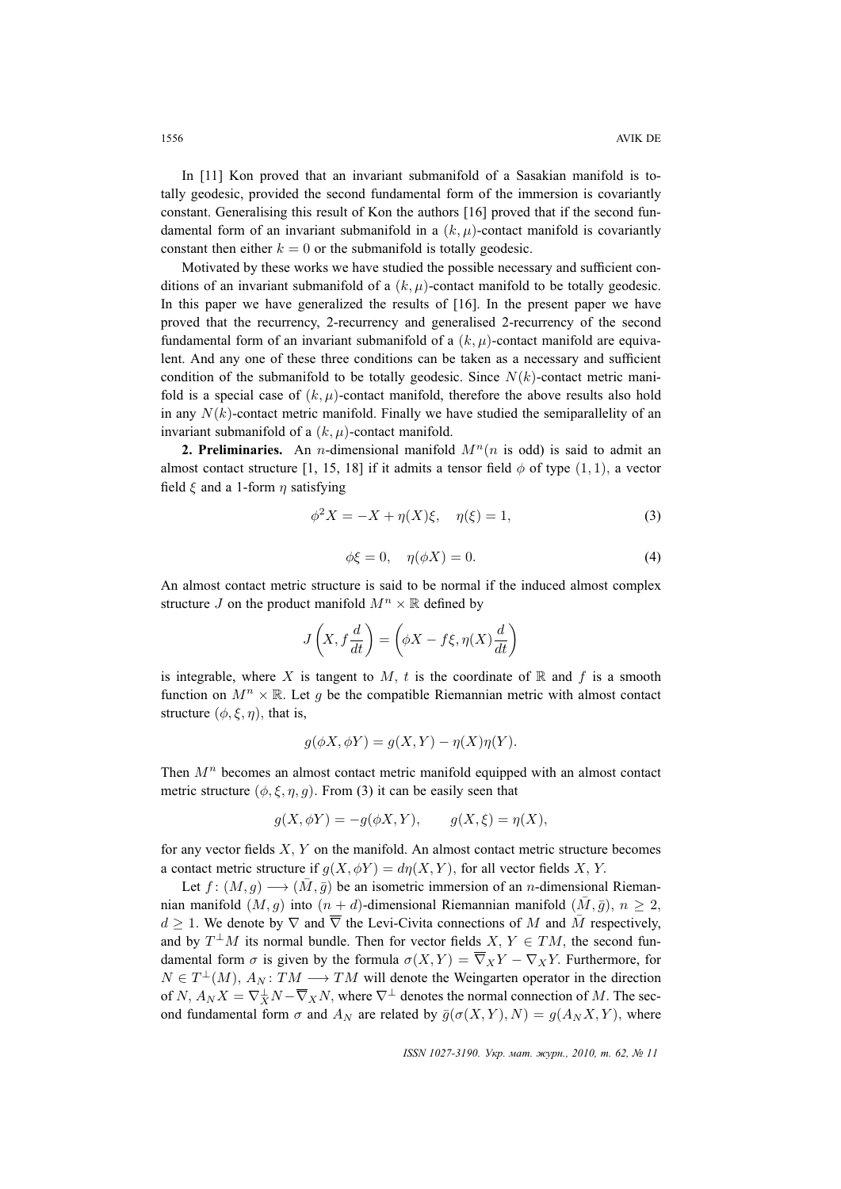In [11] Kon proved that an invariant submanifold of a Sasakian manifold is totally geodesic, provided the second fundamental form of the immersion is covariantly constant. Generalising this result of Kon the authors [16] proved that if the second fundamental form of an invariant submanifold in a  $(k, \mu)$ -contact manifold is covariantly constant then either  $k = 0$  or the submanifold is totally geodesic.

Motivated by these works we have studied the possible necessary and sufficient conditions of an invariant submanifold of a  $(k, \mu)$ -contact manifold to be totally geodesic. In this paper we have generalized the results of [16]. In the present paper we have proved that the recurrency, 2-recurrency and generalised 2-recurrency of the second fundamental form of an invariant submanifold of a  $(k, \mu)$ -contact manifold are equivalent. And any one of these three conditions can be taken as a necessary and sufficient condition of the submanifold to be totally geodesic. Since  $N(k)$ -contact metric manifold is a special case of  $(k, \mu)$ -contact manifold, therefore the above results also hold in any  $N(k)$ -contact metric manifold. Finally we have studied the semiparallelity of an invariant submanifold of a  $(k, \mu)$ -contact manifold.

**2. Preliminaries.** An *n*-dimensional manifold  $M^n(n)$  is odd) is said to admit an almost contact structure [1, 15, 18] if it admits a tensor field  $\phi$  of type (1, 1), a vector field  $\xi$  and a 1-form  $\eta$  satisfying

$$
\phi^2 X = -X + \eta(X)\xi, \quad \eta(\xi) = 1,
$$
\n(3)

$$
\phi \xi = 0, \quad \eta(\phi X) = 0. \tag{4}
$$

An almost contact metric structure is said to be normal if the induced almost complex structure J on the product manifold  $M^n \times \mathbb{R}$  defined by

$$
J\left(X, f\frac{d}{dt}\right) = \left(\phi X - f\xi, \eta(X)\frac{d}{dt}\right)
$$

is integrable, where X is tangent to M, t is the coordinate of R and f is a smooth function on  $M^n \times \mathbb{R}$ . Let q be the compatible Riemannian metric with almost contact structure  $(\phi, \xi, \eta)$ , that is,

$$
g(\phi X, \phi Y) = g(X, Y) - \eta(X)\eta(Y).
$$

Then  $M<sup>n</sup>$  becomes an almost contact metric manifold equipped with an almost contact metric structure  $(\phi, \xi, \eta, g)$ . From (3) it can be easily seen that

$$
g(X, \phi Y) = -g(\phi X, Y), \qquad g(X, \xi) = \eta(X),
$$

for any vector fields  $X, Y$  on the manifold. An almost contact metric structure becomes a contact metric structure if  $g(X, \phi Y) = d\eta(X, Y)$ , for all vector fields X, Y.

Let  $f : (M, g) \longrightarrow (\bar{M}, \bar{g})$  be an isometric immersion of an *n*-dimensional Riemannian manifold  $(M, q)$  into  $(n + d)$ -dimensional Riemannian manifold  $(\bar{M}, \bar{g})$ ,  $n \geq 2$ ,  $d \geq 1$ . We denote by  $\nabla$  and  $\overline{\nabla}$  the Levi-Civita connections of M and  $\overline{M}$  respectively, and by  $T^{\perp}M$  its normal bundle. Then for vector fields  $X, Y \in TM$ , the second fundamental form  $\sigma$  is given by the formula  $\sigma(X, Y) = \overline{\nabla}_X Y - \nabla_X Y$ . Furthermore, for  $N \in T^{\perp}(M)$ ,  $A_N: TM \longrightarrow TM$  will denote the Weingarten operator in the direction of  $N$ ,  $A_N X = \nabla_X^{\perp} N - \overline{\nabla}_X N$ , where  $\nabla^{\perp}$  denotes the normal connection of M. The second fundamental form  $\sigma$  and  $A_N$  are related by  $\bar{g}(\sigma(X, Y), N) = g(A_N X, Y)$ , where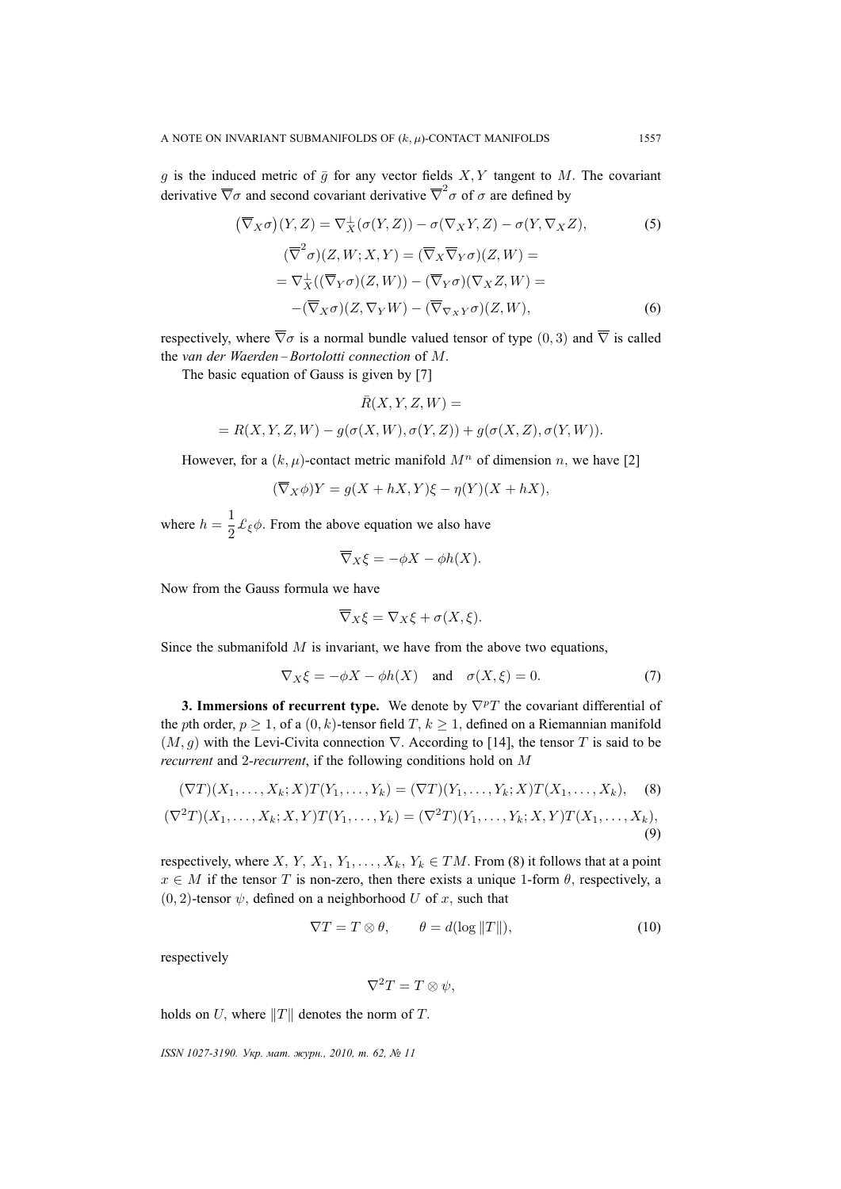g is the induced metric of  $\bar{g}$  for any vector fields  $X, Y$  tangent to M. The covariant derivative  $\overline{\nabla}\sigma$  and second covariant derivative  $\overline{\nabla}^2\sigma$  of  $\sigma$  are defined by

$$
(\overline{\nabla}_X \sigma)(Y, Z) = \nabla_X^{\perp}(\sigma(Y, Z)) - \sigma(\nabla_X Y, Z) - \sigma(Y, \nabla_X Z),
$$
(5)  

$$
(\overline{\nabla}^2 \sigma)(Z, W; X, Y) = (\overline{\nabla}_X \overline{\nabla}_Y \sigma)(Z, W) =
$$
  

$$
= \nabla_X^{\perp}((\overline{\nabla}_Y \sigma)(Z, W)) - (\overline{\nabla}_Y \sigma)(\nabla_X Z, W) =
$$
  

$$
-(\overline{\nabla}_X \sigma)(Z, \nabla_Y W) - (\overline{\nabla}_{\nabla_X Y} \sigma)(Z, W),
$$
(6)

respectively, where  $\overline{\nabla}\sigma$  is a normal bundle valued tensor of type (0, 3) and  $\overline{\nabla}$  is called the *van der Waerden – Bortolotti connection* of M.

The basic equation of Gauss is given by [7]

$$
\bar{R}(X, Y, Z, W) =
$$

$$
= R(X, Y, Z, W) - g(\sigma(X, W), \sigma(Y, Z)) + g(\sigma(X, Z), \sigma(Y, W)).
$$

However, for a  $(k, \mu)$ -contact metric manifold  $M^n$  of dimension n, we have [2]

$$
(\overline{\nabla}_X \phi)Y = g(X + hX, Y)\xi - \eta(Y)(X + hX),
$$

where  $h = \frac{1}{2}$  $\frac{1}{2}$   $\mathcal{L}_{\xi}\phi$ . From the above equation we also have

$$
\nabla_X \xi = -\phi X - \phi h(X).
$$

Now from the Gauss formula we have

$$
\overline{\nabla}_X \xi = \nabla_X \xi + \sigma(X, \xi).
$$

Since the submanifold  $M$  is invariant, we have from the above two equations,

$$
\nabla_X \xi = -\phi X - \phi h(X) \quad \text{and} \quad \sigma(X, \xi) = 0. \tag{7}
$$

**3. Immersions of recurrent type.** We denote by  $\nabla^p T$  the covariant differential of the pth order,  $p > 1$ , of a  $(0, k)$ -tensor field T,  $k > 1$ , defined on a Riemannian manifold  $(M, g)$  with the Levi-Civita connection  $\nabla$ . According to [14], the tensor T is said to be *recurrent* and 2*-recurrent*, if the following conditions hold on M

$$
(\nabla T)(X_1, \dots, X_k; X)T(Y_1, \dots, Y_k) = (\nabla T)(Y_1, \dots, Y_k; X)T(X_1, \dots, X_k),
$$
\n
$$
(\nabla^2 T)(X_1, \dots, X_k; X, Y)T(Y_1, \dots, Y_k) = (\nabla^2 T)(Y_1, \dots, Y_k; X, Y)T(X_1, \dots, X_k),
$$
\n(9)

respectively, where X, Y,  $X_1, Y_1, \ldots, X_k, Y_k \in TM$ . From (8) it follows that at a point  $x \in M$  if the tensor T is non-zero, then there exists a unique 1-form  $\theta$ , respectively, a  $(0, 2)$ -tensor  $\psi$ , defined on a neighborhood U of x, such that

$$
\nabla T = T \otimes \theta, \qquad \theta = d(\log ||T||), \tag{10}
$$

respectively

$$
\nabla^2 T = T \otimes \psi,
$$

holds on U, where  $||T||$  denotes the norm of T.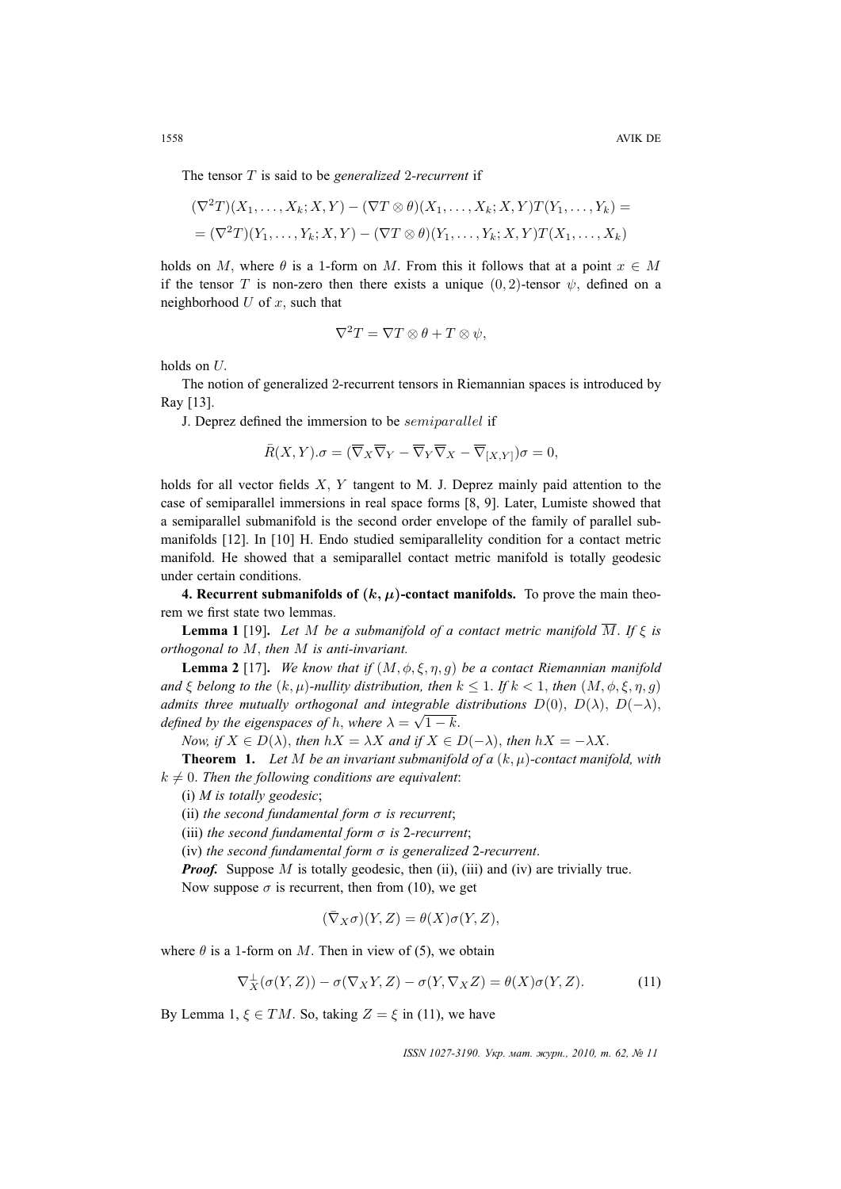The tensor T is said to be *generalized* 2*-recurrent* if

$$
(\nabla^2 T)(X_1,\ldots,X_k;X,Y) - (\nabla T \otimes \theta)(X_1,\ldots,X_k;X,Y)T(Y_1,\ldots,Y_k) =
$$
  
= 
$$
(\nabla^2 T)(Y_1,\ldots,Y_k;X,Y) - (\nabla T \otimes \theta)(Y_1,\ldots,Y_k;X,Y)T(X_1,\ldots,X_k)
$$

holds on M, where  $\theta$  is a 1-form on M. From this it follows that at a point  $x \in M$ if the tensor T is non-zero then there exists a unique  $(0, 2)$ -tensor  $\psi$ , defined on a neighborhood  $U$  of  $x$ , such that

$$
\nabla^2 T = \nabla T \otimes \theta + T \otimes \psi,
$$

holds on U.

The notion of generalized 2-recurrent tensors in Riemannian spaces is introduced by Ray [13].

J. Deprez defined the immersion to be semiparallel if

$$
\overline{R}(X,Y).\sigma = (\overline{\nabla}_X \overline{\nabla}_Y - \overline{\nabla}_Y \overline{\nabla}_X - \overline{\nabla}_{[X,Y]})\sigma = 0,
$$

holds for all vector fields X, Y tangent to M. J. Deprez mainly paid attention to the case of semiparallel immersions in real space forms [8, 9]. Later, Lumiste showed that a semiparallel submanifold is the second order envelope of the family of parallel submanifolds [12]. In [10] H. Endo studied semiparallelity condition for a contact metric manifold. He showed that a semiparallel contact metric manifold is totally geodesic under certain conditions.

**4. Recurrent submanifolds of**  $(k, \mu)$ **-contact manifolds.** To prove the main theorem we first state two lemmas.

**Lemma 1** [19]. *Let* M *be a submanifold of a contact metric manifold*  $\overline{M}$ *. If*  $\xi$  *is orthogonal to* M, *then* M *is anti-invariant.*

**Lemma 2** [17]. *We know that if*  $(M, \phi, \xi, \eta, g)$  *be a contact Riemannian manifold and*  $\xi$  *belong to the*  $(k, \mu)$ *-nullity distribution, then*  $k \leq 1$ *. If*  $k < 1$ *, then*  $(M, \phi, \xi, \eta, g)$ *admits three mutually orthogonal and integrable distributions*  $D(0)$ ,  $D(\lambda)$ ,  $D(-\lambda)$ , *defined by the eigenspaces of h, where*  $\lambda = \sqrt{1 - k}$ .

*Now, if*  $X \in D(\lambda)$ *, then*  $hX = \lambda X$  *and if*  $X \in D(-\lambda)$ *, then*  $hX = -\lambda X$ .

**Theorem 1.** Let M be an invariant submanifold of a  $(k, \mu)$ -contact manifold, with  $k \neq 0$ . Then the following conditions are equivalent:

(i) *M is totally geodesic*;

(ii) *the second fundamental form*  $\sigma$  *is recurrent*;

(iii) *the second fundamental form* σ *is* 2*-recurrent*;

(iv) *the second fundamental form* σ *is generalized* 2*-recurrent*.

*Proof.* Suppose M is totally geodesic, then (ii), (iii) and (iv) are trivially true. Now suppose  $\sigma$  is recurrent, then from (10), we get

$$
(\bar{\nabla}_X\sigma)(Y,Z)=\theta(X)\sigma(Y,Z),
$$

where  $\theta$  is a 1-form on M. Then in view of (5), we obtain

$$
\nabla_X^{\perp}(\sigma(Y,Z)) - \sigma(\nabla_X Y, Z) - \sigma(Y, \nabla_X Z) = \theta(X)\sigma(Y, Z). \tag{11}
$$

By Lemma 1,  $\xi \in TM$ . So, taking  $Z = \xi$  in (11), we have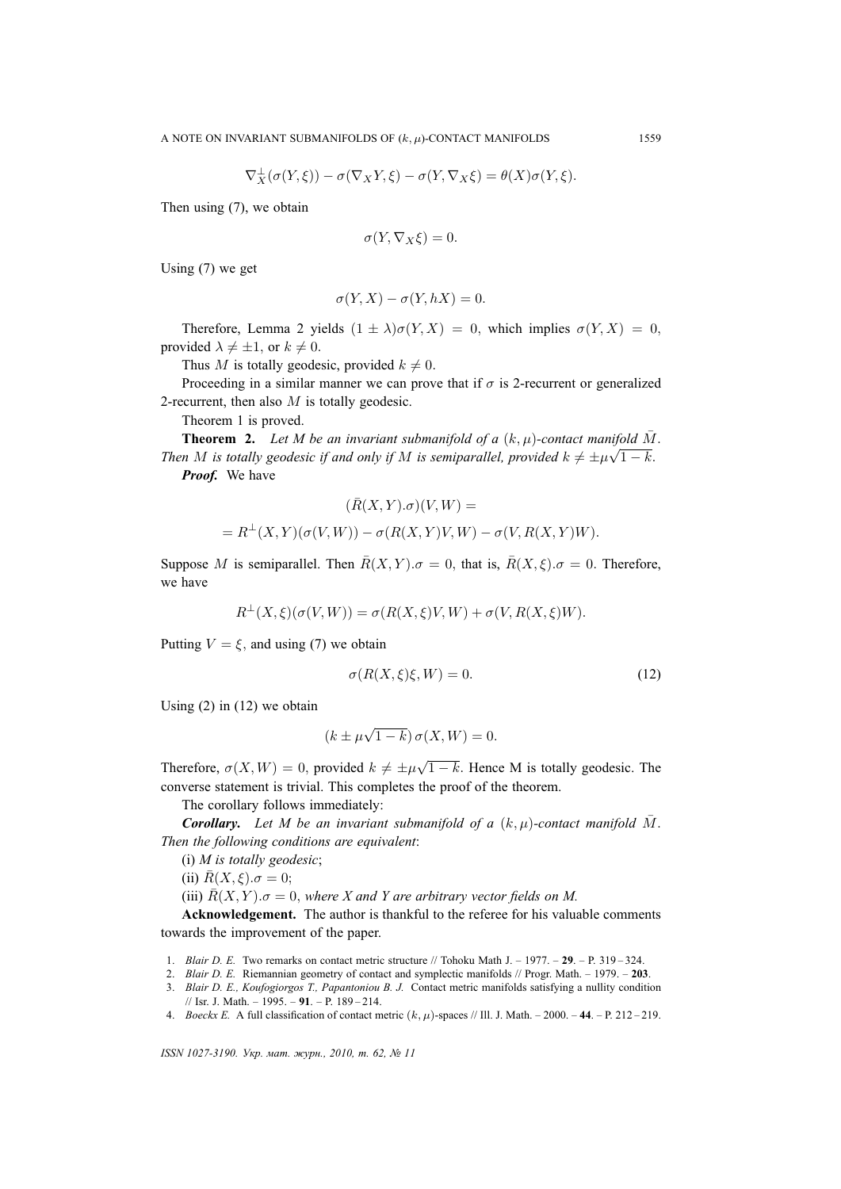$$
\nabla_X^{\perp}(\sigma(Y,\xi)) - \sigma(\nabla_X Y,\xi) - \sigma(Y,\nabla_X \xi) = \theta(X)\sigma(Y,\xi).
$$

Then using (7), we obtain

$$
\sigma(Y, \nabla_X \xi) = 0.
$$

Using (7) we get

$$
\sigma(Y, X) - \sigma(Y, hX) = 0.
$$

Therefore, Lemma 2 yields  $(1 \pm \lambda)\sigma(Y, X) = 0$ , which implies  $\sigma(Y, X) = 0$ , provided  $\lambda \neq \pm 1$ , or  $k \neq 0$ .

Thus M is totally geodesic, provided  $k \neq 0$ .

Proceeding in a similar manner we can prove that if  $\sigma$  is 2-recurrent or generalized 2-recurrent, then also  $M$  is totally geodesic.

Theorem 1 is proved.

**Theorem 2.** *Let M be an invariant submanifold of a*  $(k, \mu)$ -contact manifold  $\overline{M}$ . *Then* M is totally geodesic if and only if M is semiparallel, provided  $k \neq \pm \mu \sqrt{1-k}$ . *Proof.* We have

$$
\label{eq:R} (\bar{R}(X,Y).\sigma)(V,W)=
$$
 
$$
=R^{\perp}(X,Y)(\sigma(V,W))-\sigma(R(X,Y)V,W)-\sigma(V,R(X,Y)W).
$$

Suppose M is semiparallel. Then  $\bar{R}(X, Y) \cdot \sigma = 0$ , that is,  $\bar{R}(X, \xi) \cdot \sigma = 0$ . Therefore, we have

$$
R^{\perp}(X,\xi)(\sigma(V,W)) = \sigma(R(X,\xi)V,W) + \sigma(V,R(X,\xi)W).
$$

Putting  $V = \xi$ , and using (7) we obtain

$$
\sigma(R(X,\xi)\xi,W) = 0. \tag{12}
$$

Using  $(2)$  in  $(12)$  we obtain

$$
(k \pm \mu \sqrt{1-k}) \sigma(X, W) = 0.
$$

Therefore,  $\sigma(X, W) = 0$ , provided  $k \neq \pm \mu$ √  $1 - k$ . Hence M is totally geodesic. The converse statement is trivial. This completes the proof of the theorem.

The corollary follows immediately:

*Corollary.* Let M be an invariant submanifold of a  $(k, \mu)$ -contact manifold M. *Then the following conditions are equivalent*:

(i) *M is totally geodesic*;

(ii) 
$$
\bar{R}(X,\xi).\sigma = 0;
$$

(iii)  $\overline{R}(X, Y)$ . $\sigma = 0$ , where X and Y are arbitrary vector fields on M.

**Acknowledgement.** The author is thankful to the referee for his valuable comments towards the improvement of the paper.

- 1. *Blair D. E.* Two remarks on contact metric structure // Tohoku Math J. 1977. **29**. P. 319 324.
- 2. *Blair D. E.* Riemannian geometry of contact and symplectic manifolds // Progr. Math. 1979. **203**.
- 3. *Blair D. E., Koufogiorgos T., Papantoniou B. J.* Contact metric manifolds satisfying a nullity condition // Isr. J. Math. – 1995. – **91**. – P. 189 – 214.
- 4. *Boeckx E.* A full classification of contact metric  $(k, \mu)$ -spaces // Ill. J. Math. 2000. 44. P. 212 219.